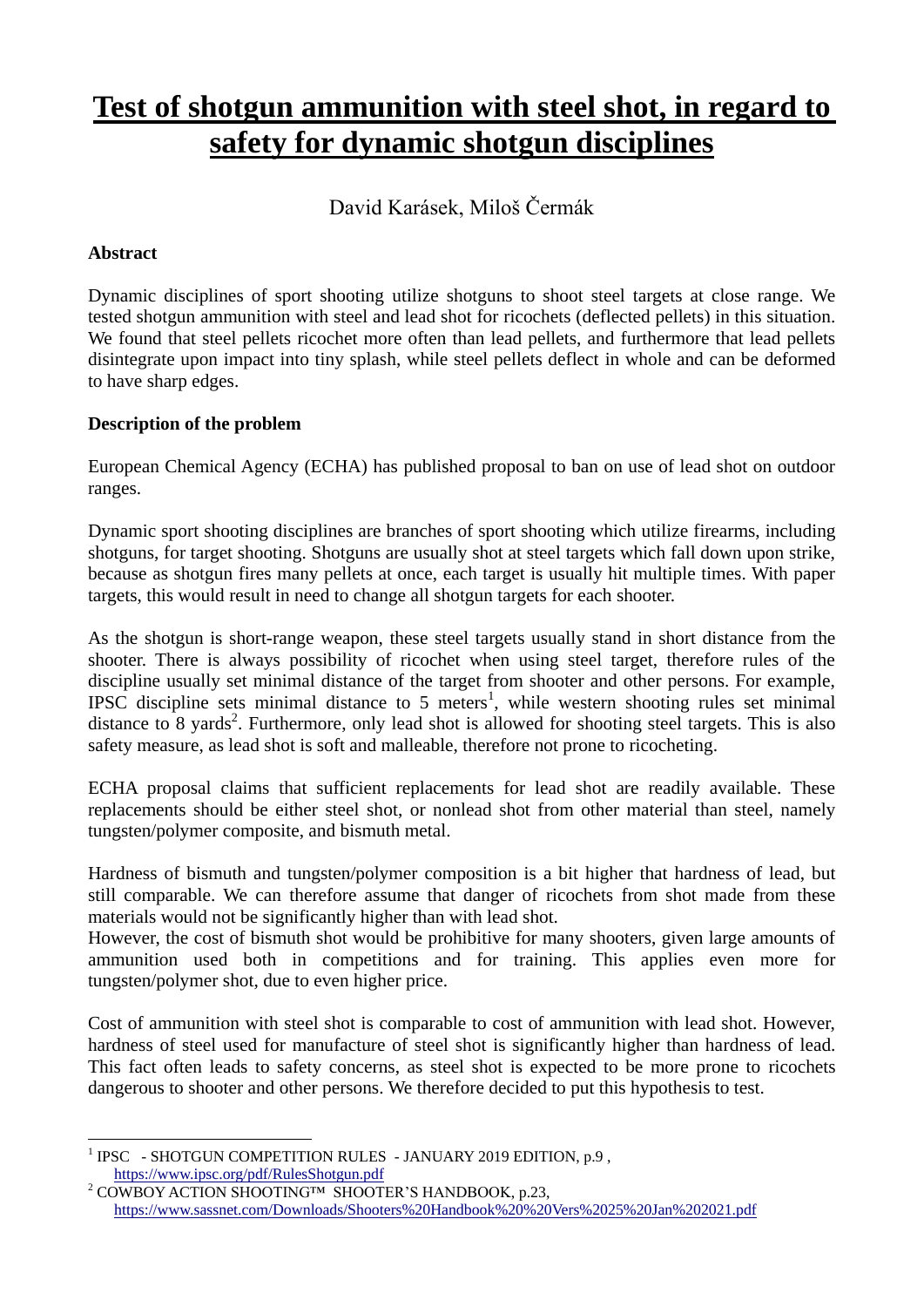# **Test of shotgun ammunition with steel shot, in regard to safety for dynamic shotgun disciplines**

David Karásek, Miloš Čermák

### **Abstract**

Dynamic disciplines of sport shooting utilize shotguns to shoot steel targets at close range. We tested shotgun ammunition with steel and lead shot for ricochets (deflected pellets) in this situation. We found that steel pellets ricochet more often than lead pellets, and furthermore that lead pellets disintegrate upon impact into tiny splash, while steel pellets deflect in whole and can be deformed to have sharp edges.

### **Description of the problem**

European Chemical Agency (ECHA) has published proposal to ban on use of lead shot on outdoor ranges.

Dynamic sport shooting disciplines are branches of sport shooting which utilize firearms, including shotguns, for target shooting. Shotguns are usually shot at steel targets which fall down upon strike, because as shotgun fires many pellets at once, each target is usually hit multiple times. With paper targets, this would result in need to change all shotgun targets for each shooter.

As the shotgun is short-range weapon, these steel targets usually stand in short distance from the shooter. There is always possibility of ricochet when using steel target, therefore rules of the discipline usually set minimal distance of the target from shooter and other persons. For example, IPSC discipline sets minimal distance to 5 meters<sup>1</sup>, while western shooting rules set minimal distance to  $\overline{8}$  yards<sup>2</sup>. Furthermore, only lead shot is allowed for shooting steel targets. This is also safety measure, as lead shot is soft and malleable, therefore not prone to ricocheting.

ECHA proposal claims that sufficient replacements for lead shot are readily available. These replacements should be either steel shot, or nonlead shot from other material than steel, namely tungsten/polymer composite, and bismuth metal.

Hardness of bismuth and tungsten/polymer composition is a bit higher that hardness of lead, but still comparable. We can therefore assume that danger of ricochets from shot made from these materials would not be significantly higher than with lead shot.

However, the cost of bismuth shot would be prohibitive for many shooters, given large amounts of ammunition used both in competitions and for training. This applies even more for tungsten/polymer shot, due to even higher price.

Cost of ammunition with steel shot is comparable to cost of ammunition with lead shot. However, hardness of steel used for manufacture of steel shot is significantly higher than hardness of lead. This fact often leads to safety concerns, as steel shot is expected to be more prone to ricochets dangerous to shooter and other persons. We therefore decided to put this hypothesis to test.

 $\overline{a}$ <sup>1</sup> IPSC - SHOTGUN COMPETITION RULES - JANUARY 2019 EDITION, p.9, <https://www.ipsc.org/pdf/RulesShotgun.pdf>

<sup>&</sup>lt;sup>2</sup> COWBOY ACTION SHOOTING™ SHOOTER'S HANDBOOK, p.23, <https://www.sassnet.com/Downloads/Shooters%20Handbook%20%20Vers%2025%20Jan%202021.pdf>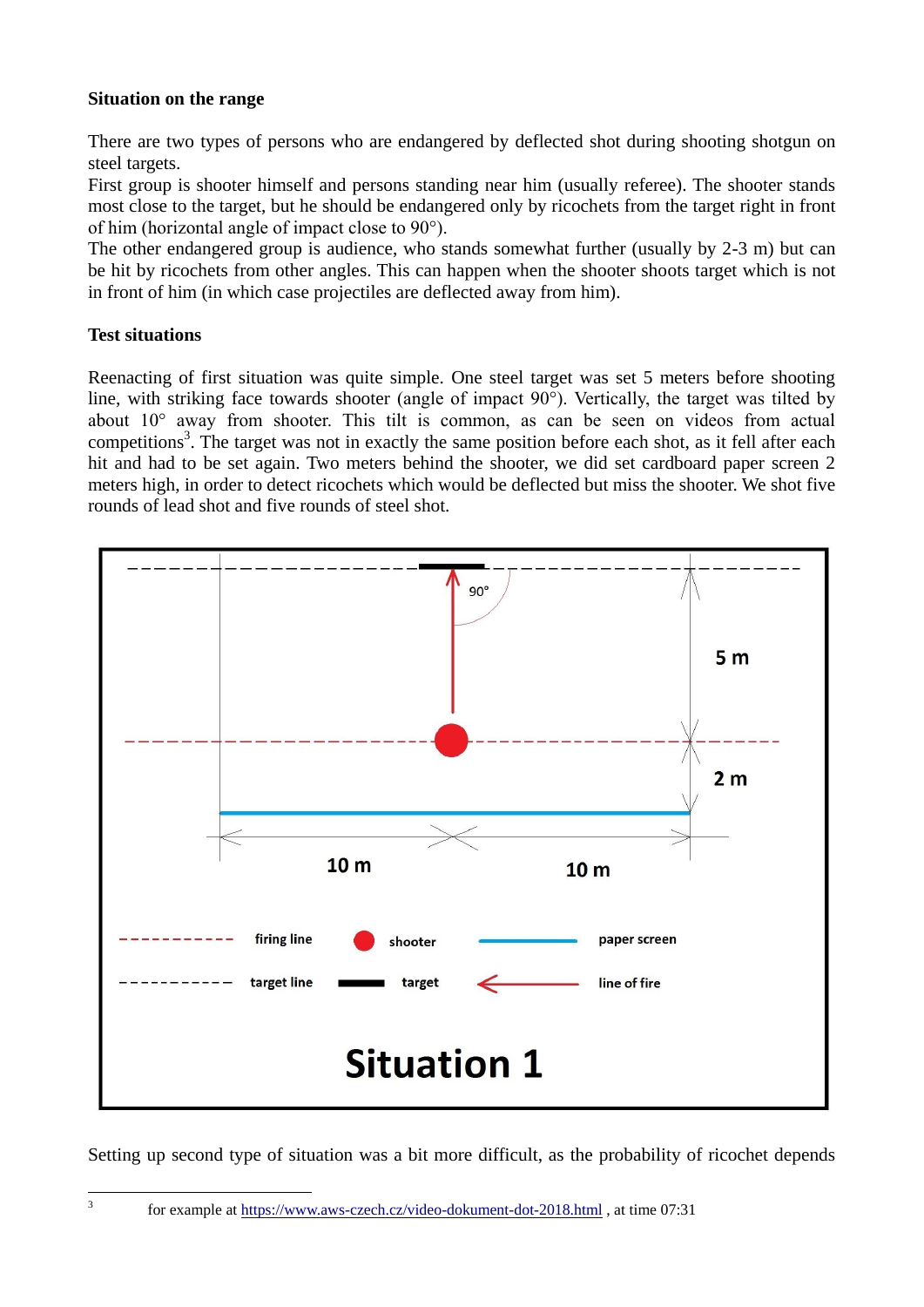#### **Situation on the range**

There are two types of persons who are endangered by deflected shot during shooting shotgun on steel targets.

First group is shooter himself and persons standing near him (usually referee). The shooter stands most close to the target, but he should be endangered only by ricochets from the target right in front of him (horizontal angle of impact close to 90°).

The other endangered group is audience, who stands somewhat further (usually by 2-3 m) but can be hit by ricochets from other angles. This can happen when the shooter shoots target which is not in front of him (in which case projectiles are deflected away from him).

#### **Test situations**

Reenacting of first situation was quite simple. One steel target was set 5 meters before shooting line, with striking face towards shooter (angle of impact 90°). Vertically, the target was tilted by about 10° away from shooter. This tilt is common, as can be seen on videos from actual competitions<sup>3</sup>. The target was not in exactly the same position before each shot, as it fell after each hit and had to be set again. Two meters behind the shooter, we did set cardboard paper screen 2 meters high, in order to detect ricochets which would be deflected but miss the shooter. We shot five rounds of lead shot and five rounds of steel shot.



Setting up second type of situation was a bit more difficult, as the probability of ricochet depends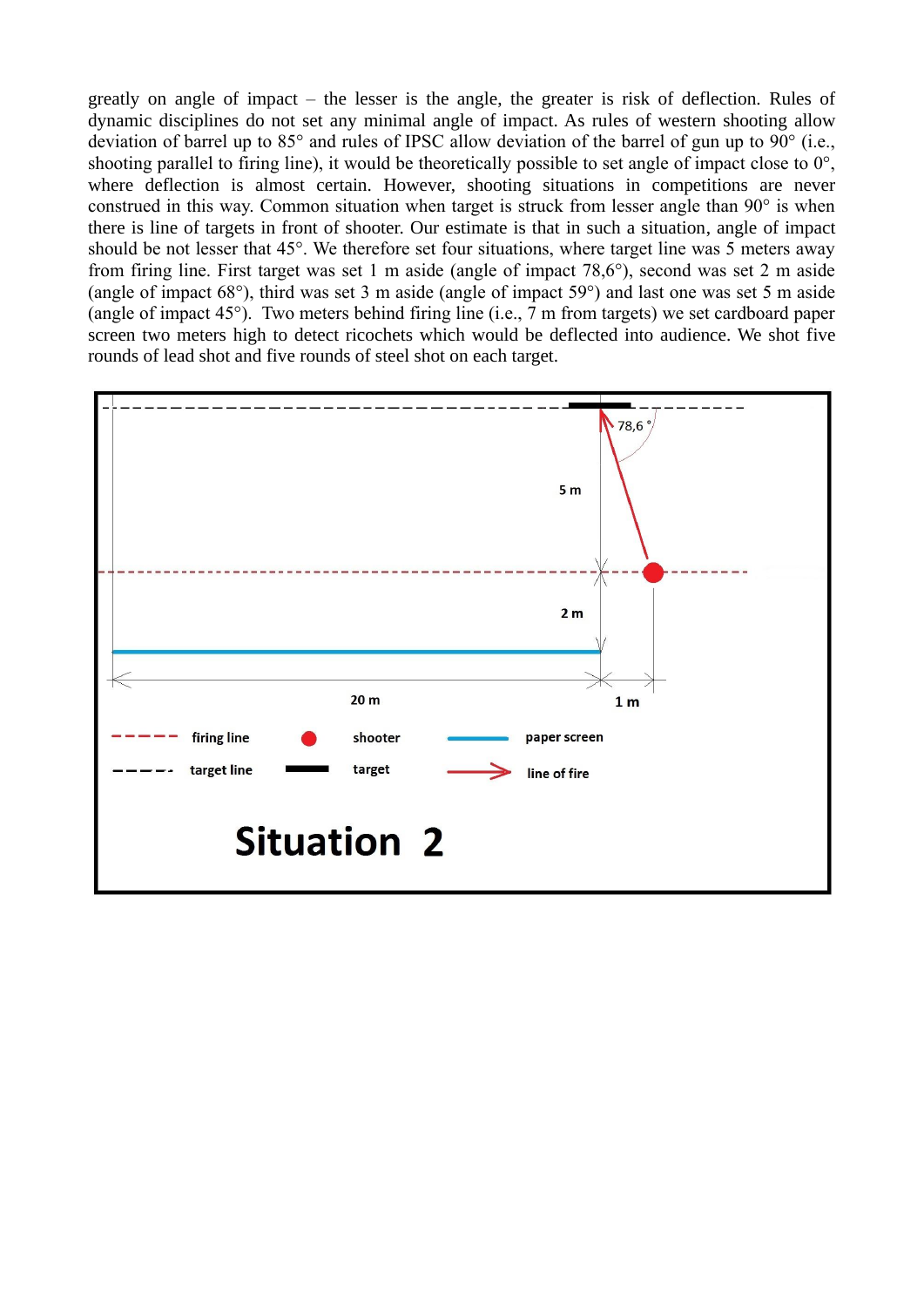greatly on angle of impact – the lesser is the angle, the greater is risk of deflection. Rules of dynamic disciplines do not set any minimal angle of impact. As rules of western shooting allow deviation of barrel up to 85° and rules of IPSC allow deviation of the barrel of gun up to 90° (i.e., shooting parallel to firing line), it would be theoretically possible to set angle of impact close to 0°, where deflection is almost certain. However, shooting situations in competitions are never construed in this way. Common situation when target is struck from lesser angle than 90° is when there is line of targets in front of shooter. Our estimate is that in such a situation, angle of impact should be not lesser that 45°. We therefore set four situations, where target line was 5 meters away from firing line. First target was set 1 m aside (angle of impact 78,6°), second was set 2 m aside (angle of impact 68°), third was set 3 m aside (angle of impact 59°) and last one was set 5 m aside (angle of impact 45°). Two meters behind firing line (i.e., 7 m from targets) we set cardboard paper screen two meters high to detect ricochets which would be deflected into audience. We shot five rounds of lead shot and five rounds of steel shot on each target.

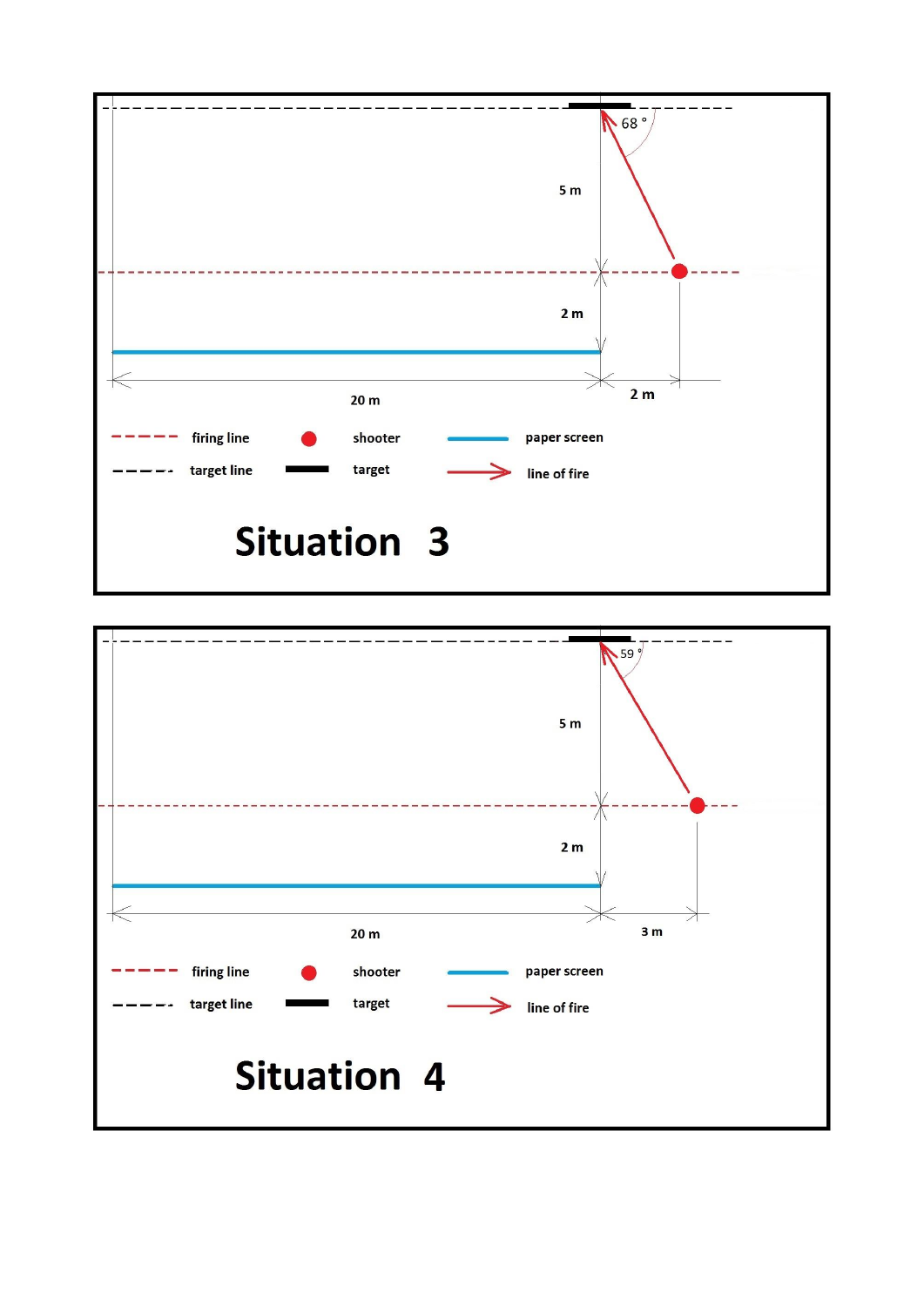

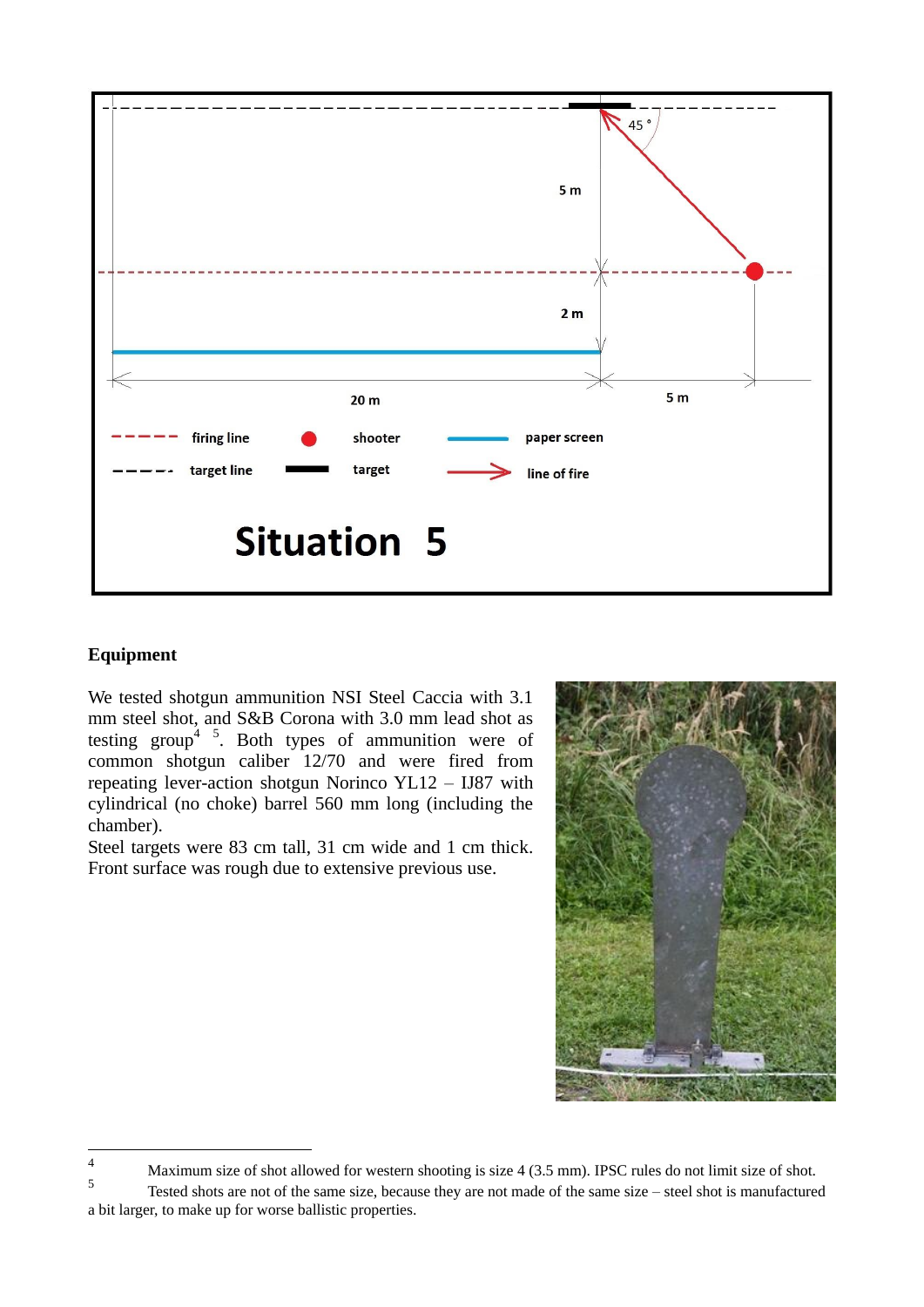

### **Equipment**

We tested shotgun ammunition NSI Steel Caccia with 3.1 mm steel shot, and S&B Corona with 3.0 mm lead shot as testing group<sup>4 5</sup>. Both types of ammunition were of common shotgun caliber 12/70 and were fired from repeating lever-action shotgun Norinco YL12 – IJ87 with cylindrical (no choke) barrel 560 mm long (including the chamber).

Steel targets were 83 cm tall, 31 cm wide and 1 cm thick. Front surface was rough due to extensive previous use.



 $\overline{4}$ Maximum size of shot allowed for western shooting is size 4 (3.5 mm). IPSC rules do not limit size of shot.

<sup>5</sup> Tested shots are not of the same size, because they are not made of the same size – steel shot is manufactured a bit larger, to make up for worse ballistic properties.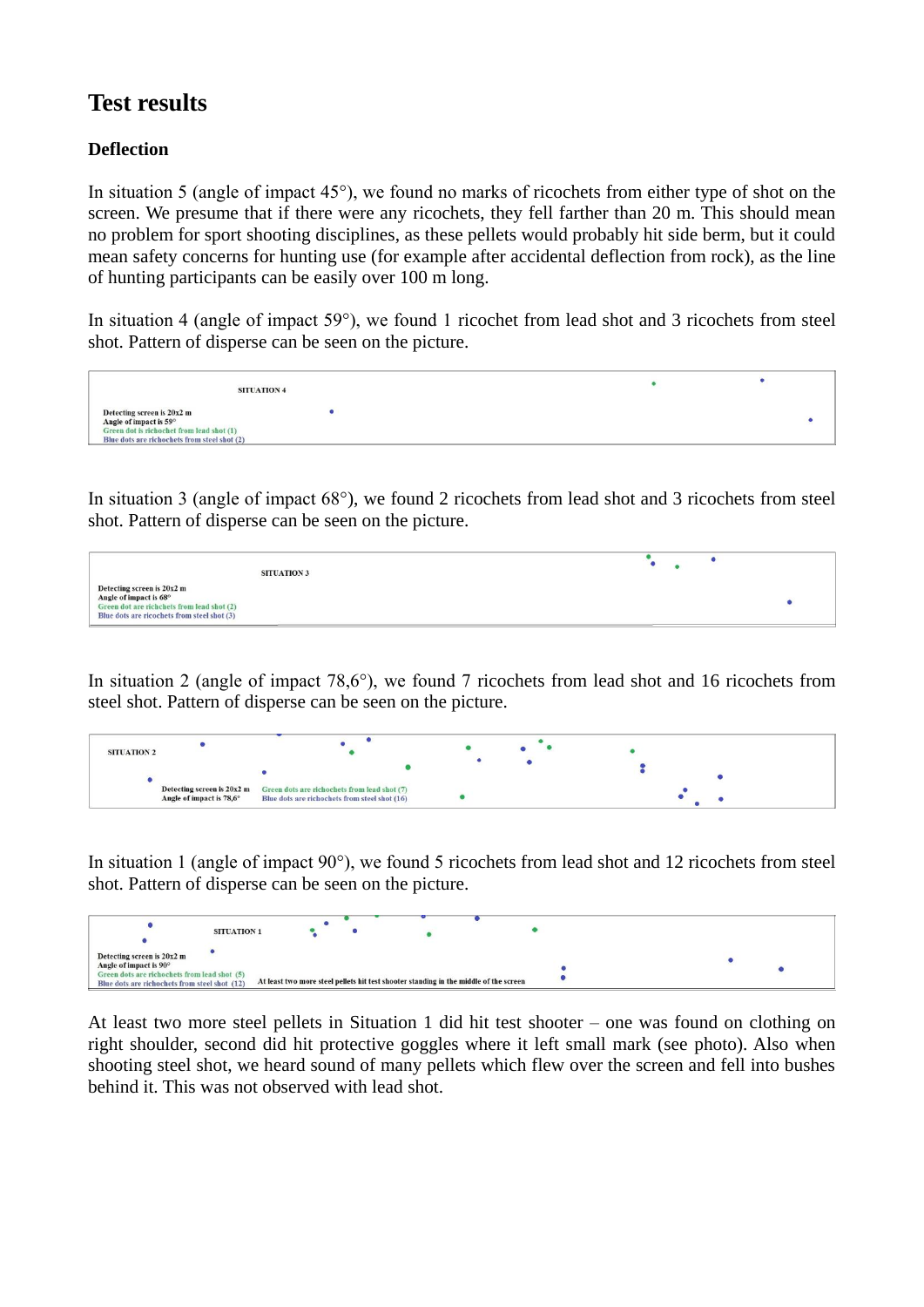# **Test results**

### **Deflection**

In situation 5 (angle of impact 45°), we found no marks of ricochets from either type of shot on the screen. We presume that if there were any ricochets, they fell farther than 20 m. This should mean no problem for sport shooting disciplines, as these pellets would probably hit side berm, but it could mean safety concerns for hunting use (for example after accidental deflection from rock), as the line of hunting participants can be easily over 100 m long.

In situation 4 (angle of impact 59°), we found 1 ricochet from lead shot and 3 ricochets from steel shot. Pattern of disperse can be seen on the picture.



In situation 3 (angle of impact 68°), we found 2 ricochets from lead shot and 3 ricochets from steel shot. Pattern of disperse can be seen on the picture.

| <b>SITUATION 3</b>                                                                                                                                |  |  |
|---------------------------------------------------------------------------------------------------------------------------------------------------|--|--|
| Detecting screen is 20x2 m<br>Angle of impact is 68°<br>Green dot are richchets from lead shot (2)<br>Blue dots are ricochets from steel shot (3) |  |  |

In situation 2 (angle of impact 78,6°), we found 7 ricochets from lead shot and 16 ricochets from steel shot. Pattern of disperse can be seen on the picture.

| <b>SITUATION 2</b> |                          |                                                                                                                                                      |  |  |
|--------------------|--------------------------|------------------------------------------------------------------------------------------------------------------------------------------------------|--|--|
|                    |                          |                                                                                                                                                      |  |  |
|                    | Angle of impact is 78,6° | <b>Detecting screen is <math>20x2 \text{ m}</math></b> Green dots are richochets from lead shot (7)<br>Blue dots are richochets from steel shot (16) |  |  |

In situation 1 (angle of impact 90°), we found 5 ricochets from lead shot and 12 ricochets from steel shot. Pattern of disperse can be seen on the picture.



At least two more steel pellets in Situation 1 did hit test shooter – one was found on clothing on right shoulder, second did hit protective goggles where it left small mark (see photo). Also when shooting steel shot, we heard sound of many pellets which flew over the screen and fell into bushes behind it. This was not observed with lead shot.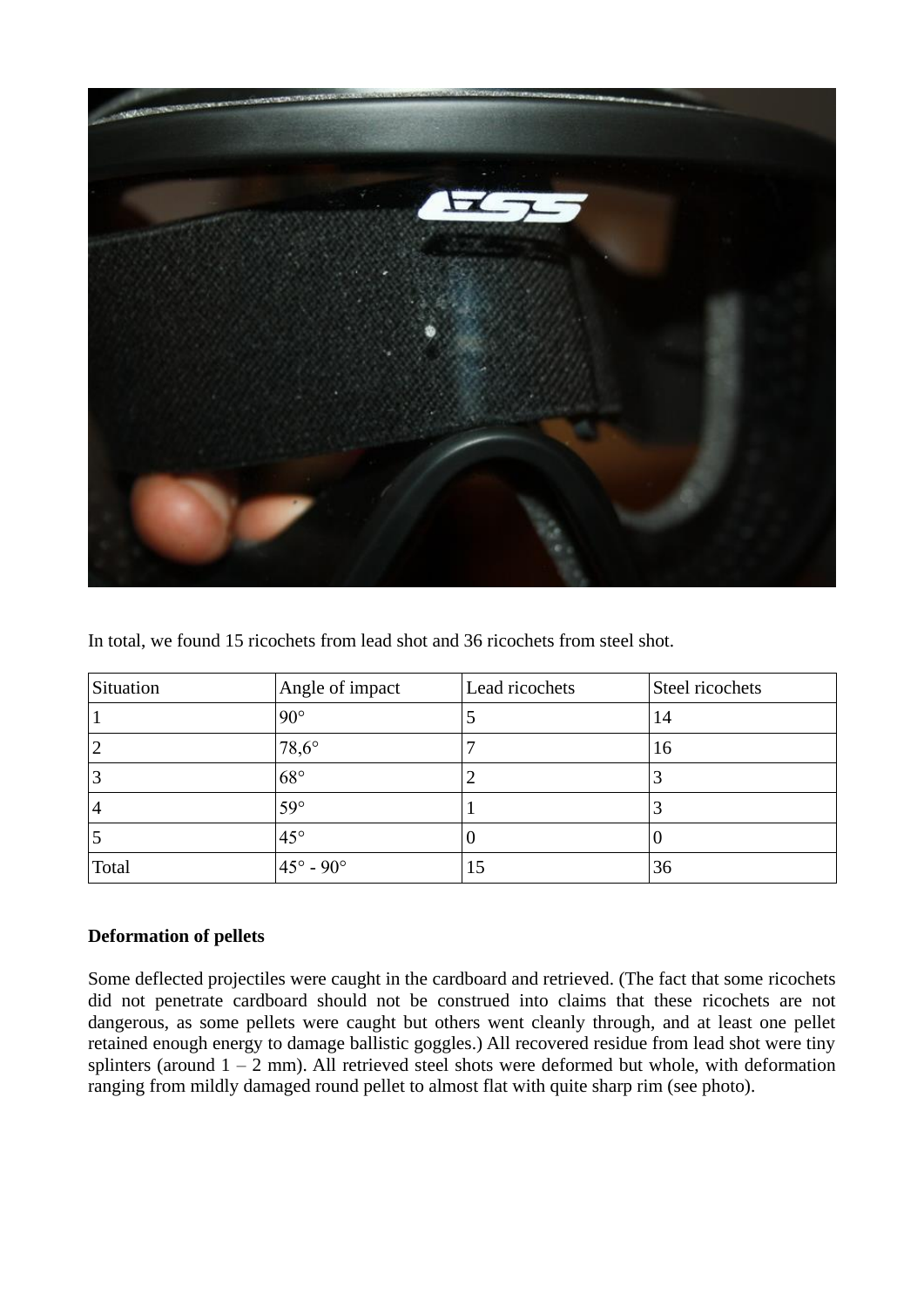

In total, we found 15 ricochets from lead shot and 36 ricochets from steel shot.

| Situation      | Angle of impact           | Lead ricochets | Steel ricochets |
|----------------|---------------------------|----------------|-----------------|
|                | $90^{\circ}$              |                | 14              |
| $\overline{2}$ | $78,6^\circ$              |                | 16              |
|                | $68^\circ$                |                |                 |
| $\overline{4}$ | $59^\circ$                |                |                 |
|                | $45^{\circ}$              | υ              |                 |
| Total          | $45^{\circ} - 90^{\circ}$ | 15             | 36              |

#### **Deformation of pellets**

Some deflected projectiles were caught in the cardboard and retrieved. (The fact that some ricochets did not penetrate cardboard should not be construed into claims that these ricochets are not dangerous, as some pellets were caught but others went cleanly through, and at least one pellet retained enough energy to damage ballistic goggles.) All recovered residue from lead shot were tiny splinters (around  $1 - 2$  mm). All retrieved steel shots were deformed but whole, with deformation ranging from mildly damaged round pellet to almost flat with quite sharp rim (see photo).